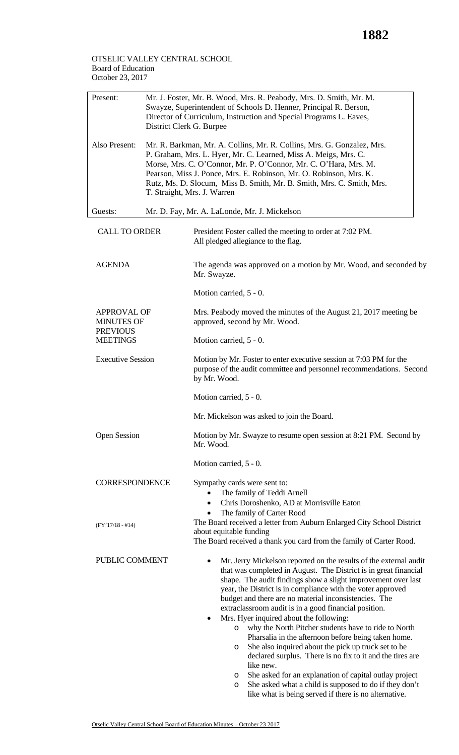## OTSELIC VALLEY CENTRAL SCHOOL Board of Education October 23, 2017

| Present:                                                                      | Mr. J. Foster, Mr. B. Wood, Mrs. R. Peabody, Mrs. D. Smith, Mr. M.<br>Swayze, Superintendent of Schools D. Henner, Principal R. Berson,<br>Director of Curriculum, Instruction and Special Programs L. Eaves,<br>District Clerk G. Burpee                                                                                                                                                   |                                                                                                                                                                                                                                                                                                                                                                                                                                                                                                                                                                                                                                                                                                                                                                                                                                 |  |  |
|-------------------------------------------------------------------------------|---------------------------------------------------------------------------------------------------------------------------------------------------------------------------------------------------------------------------------------------------------------------------------------------------------------------------------------------------------------------------------------------|---------------------------------------------------------------------------------------------------------------------------------------------------------------------------------------------------------------------------------------------------------------------------------------------------------------------------------------------------------------------------------------------------------------------------------------------------------------------------------------------------------------------------------------------------------------------------------------------------------------------------------------------------------------------------------------------------------------------------------------------------------------------------------------------------------------------------------|--|--|
| Also Present:                                                                 | Mr. R. Barkman, Mr. A. Collins, Mr. R. Collins, Mrs. G. Gonzalez, Mrs.<br>P. Graham, Mrs. L. Hyer, Mr. C. Learned, Miss A. Meigs, Mrs. C.<br>Morse, Mrs. C. O'Connor, Mr. P. O'Connor, Mr. C. O'Hara, Mrs. M.<br>Pearson, Miss J. Ponce, Mrs. E. Robinson, Mr. O. Robinson, Mrs. K.<br>Rutz, Ms. D. Slocum, Miss B. Smith, Mr. B. Smith, Mrs. C. Smith, Mrs.<br>T. Straight, Mrs. J. Warren |                                                                                                                                                                                                                                                                                                                                                                                                                                                                                                                                                                                                                                                                                                                                                                                                                                 |  |  |
| Guests:                                                                       | Mr. D. Fay, Mr. A. LaLonde, Mr. J. Mickelson                                                                                                                                                                                                                                                                                                                                                |                                                                                                                                                                                                                                                                                                                                                                                                                                                                                                                                                                                                                                                                                                                                                                                                                                 |  |  |
| <b>CALL TO ORDER</b>                                                          |                                                                                                                                                                                                                                                                                                                                                                                             | President Foster called the meeting to order at 7:02 PM.<br>All pledged allegiance to the flag.                                                                                                                                                                                                                                                                                                                                                                                                                                                                                                                                                                                                                                                                                                                                 |  |  |
| <b>AGENDA</b>                                                                 |                                                                                                                                                                                                                                                                                                                                                                                             | The agenda was approved on a motion by Mr. Wood, and seconded by<br>Mr. Swayze.                                                                                                                                                                                                                                                                                                                                                                                                                                                                                                                                                                                                                                                                                                                                                 |  |  |
|                                                                               |                                                                                                                                                                                                                                                                                                                                                                                             | Motion carried, 5 - 0.                                                                                                                                                                                                                                                                                                                                                                                                                                                                                                                                                                                                                                                                                                                                                                                                          |  |  |
| <b>APPROVAL OF</b><br><b>MINUTES OF</b><br><b>PREVIOUS</b><br><b>MEETINGS</b> |                                                                                                                                                                                                                                                                                                                                                                                             | Mrs. Peabody moved the minutes of the August 21, 2017 meeting be<br>approved, second by Mr. Wood.                                                                                                                                                                                                                                                                                                                                                                                                                                                                                                                                                                                                                                                                                                                               |  |  |
|                                                                               |                                                                                                                                                                                                                                                                                                                                                                                             | Motion carried, 5 - 0.                                                                                                                                                                                                                                                                                                                                                                                                                                                                                                                                                                                                                                                                                                                                                                                                          |  |  |
| <b>Executive Session</b>                                                      |                                                                                                                                                                                                                                                                                                                                                                                             | Motion by Mr. Foster to enter executive session at 7:03 PM for the<br>purpose of the audit committee and personnel recommendations. Second<br>by Mr. Wood.                                                                                                                                                                                                                                                                                                                                                                                                                                                                                                                                                                                                                                                                      |  |  |
|                                                                               |                                                                                                                                                                                                                                                                                                                                                                                             | Motion carried, 5 - 0.                                                                                                                                                                                                                                                                                                                                                                                                                                                                                                                                                                                                                                                                                                                                                                                                          |  |  |
|                                                                               |                                                                                                                                                                                                                                                                                                                                                                                             | Mr. Mickelson was asked to join the Board.                                                                                                                                                                                                                                                                                                                                                                                                                                                                                                                                                                                                                                                                                                                                                                                      |  |  |
| <b>Open Session</b>                                                           |                                                                                                                                                                                                                                                                                                                                                                                             | Motion by Mr. Swayze to resume open session at 8:21 PM. Second by<br>Mr. Wood.                                                                                                                                                                                                                                                                                                                                                                                                                                                                                                                                                                                                                                                                                                                                                  |  |  |
|                                                                               |                                                                                                                                                                                                                                                                                                                                                                                             | Motion carried, 5 - 0.                                                                                                                                                                                                                                                                                                                                                                                                                                                                                                                                                                                                                                                                                                                                                                                                          |  |  |
| <b>CORRESPONDENCE</b>                                                         |                                                                                                                                                                                                                                                                                                                                                                                             | Sympathy cards were sent to:<br>The family of Teddi Arnell<br>Chris Doroshenko, AD at Morrisville Eaton<br>$\bullet$<br>The family of Carter Rood                                                                                                                                                                                                                                                                                                                                                                                                                                                                                                                                                                                                                                                                               |  |  |
| $(FY'17/18 - #14)$                                                            |                                                                                                                                                                                                                                                                                                                                                                                             | The Board received a letter from Auburn Enlarged City School District<br>about equitable funding<br>The Board received a thank you card from the family of Carter Rood.                                                                                                                                                                                                                                                                                                                                                                                                                                                                                                                                                                                                                                                         |  |  |
| PUBLIC COMMENT                                                                |                                                                                                                                                                                                                                                                                                                                                                                             | Mr. Jerry Mickelson reported on the results of the external audit<br>that was completed in August. The District is in great financial<br>shape. The audit findings show a slight improvement over last<br>year, the District is in compliance with the voter approved<br>budget and there are no material inconsistencies. The<br>extraclassroom audit is in a good financial position.<br>Mrs. Hyer inquired about the following:<br>٠<br>why the North Pitcher students have to ride to North<br>O<br>Pharsalia in the afternoon before being taken home.<br>She also inquired about the pick up truck set to be<br>O<br>declared surplus. There is no fix to it and the tires are<br>like new.<br>She asked for an explanation of capital outlay project<br>O<br>She asked what a child is supposed to do if they don't<br>O |  |  |

like what is being served if there is no alternative.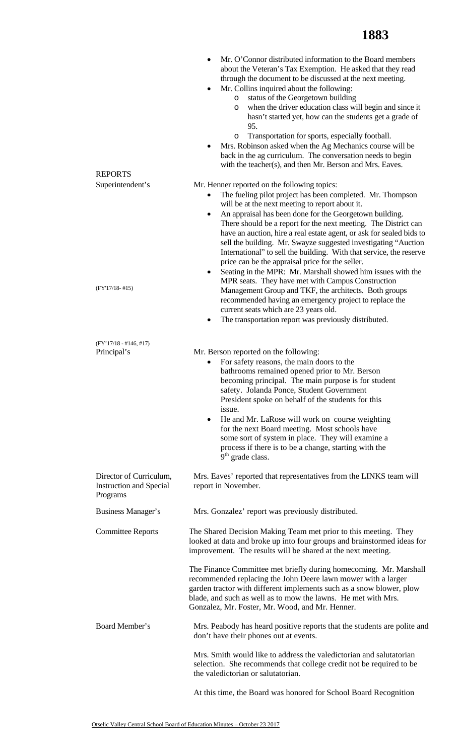| <b>REPORTS</b>                                                        | Mr. O'Connor distributed information to the Board members<br>٠<br>about the Veteran's Tax Exemption. He asked that they read<br>through the document to be discussed at the next meeting.<br>Mr. Collins inquired about the following:<br>٠<br>status of the Georgetown building<br>O<br>when the driver education class will begin and since it<br>O<br>hasn't started yet, how can the students get a grade of<br>95.<br>Transportation for sports, especially football.<br>$\circ$<br>Mrs. Robinson asked when the Ag Mechanics course will be<br>٠<br>back in the ag curriculum. The conversation needs to begin<br>with the teacher(s), and then Mr. Berson and Mrs. Eaves. |
|-----------------------------------------------------------------------|----------------------------------------------------------------------------------------------------------------------------------------------------------------------------------------------------------------------------------------------------------------------------------------------------------------------------------------------------------------------------------------------------------------------------------------------------------------------------------------------------------------------------------------------------------------------------------------------------------------------------------------------------------------------------------|
| Superintendent's                                                      | Mr. Henner reported on the following topics:                                                                                                                                                                                                                                                                                                                                                                                                                                                                                                                                                                                                                                     |
|                                                                       | The fueling pilot project has been completed. Mr. Thompson<br>will be at the next meeting to report about it.<br>An appraisal has been done for the Georgetown building.<br>$\bullet$<br>There should be a report for the next meeting. The District can<br>have an auction, hire a real estate agent, or ask for sealed bids to<br>sell the building. Mr. Swayze suggested investigating "Auction<br>International" to sell the building. With that service, the reserve<br>price can be the appraisal price for the seller.<br>Seating in the MPR: Mr. Marshall showed him issues with the<br>٠                                                                                |
| $(FY'17/18-#15)$                                                      | MPR seats. They have met with Campus Construction<br>Management Group and TKF, the architects. Both groups<br>recommended having an emergency project to replace the                                                                                                                                                                                                                                                                                                                                                                                                                                                                                                             |
|                                                                       | current seats which are 23 years old.<br>The transportation report was previously distributed.                                                                                                                                                                                                                                                                                                                                                                                                                                                                                                                                                                                   |
| $(FY'17/18 - #146, #17)$                                              |                                                                                                                                                                                                                                                                                                                                                                                                                                                                                                                                                                                                                                                                                  |
| Principal's                                                           | Mr. Berson reported on the following:<br>For safety reasons, the main doors to the<br>٠<br>bathrooms remained opened prior to Mr. Berson<br>becoming principal. The main purpose is for student<br>safety. Jolanda Ponce, Student Government<br>President spoke on behalf of the students for this<br>issue.<br>He and Mr. LaRose will work on course weighting<br>$\bullet$<br>for the next Board meeting. Most schools have<br>some sort of system in place. They will examine a<br>process if there is to be a change, starting with the<br>$9th$ grade class.                                                                                                                |
| Director of Curriculum,<br><b>Instruction and Special</b><br>Programs | Mrs. Eaves' reported that representatives from the LINKS team will<br>report in November.                                                                                                                                                                                                                                                                                                                                                                                                                                                                                                                                                                                        |
| Business Manager's                                                    | Mrs. Gonzalez' report was previously distributed.                                                                                                                                                                                                                                                                                                                                                                                                                                                                                                                                                                                                                                |
| <b>Committee Reports</b>                                              | The Shared Decision Making Team met prior to this meeting. They<br>looked at data and broke up into four groups and brainstormed ideas for<br>improvement. The results will be shared at the next meeting.                                                                                                                                                                                                                                                                                                                                                                                                                                                                       |
|                                                                       | The Finance Committee met briefly during homecoming. Mr. Marshall<br>recommended replacing the John Deere lawn mower with a larger<br>garden tractor with different implements such as a snow blower, plow<br>blade, and such as well as to mow the lawns. He met with Mrs.<br>Gonzalez, Mr. Foster, Mr. Wood, and Mr. Henner.                                                                                                                                                                                                                                                                                                                                                   |
| Board Member's                                                        | Mrs. Peabody has heard positive reports that the students are polite and<br>don't have their phones out at events.                                                                                                                                                                                                                                                                                                                                                                                                                                                                                                                                                               |
|                                                                       | Mrs. Smith would like to address the valedictorian and salutatorian<br>selection. She recommends that college credit not be required to be<br>the valedictorian or salutatorian.                                                                                                                                                                                                                                                                                                                                                                                                                                                                                                 |
|                                                                       |                                                                                                                                                                                                                                                                                                                                                                                                                                                                                                                                                                                                                                                                                  |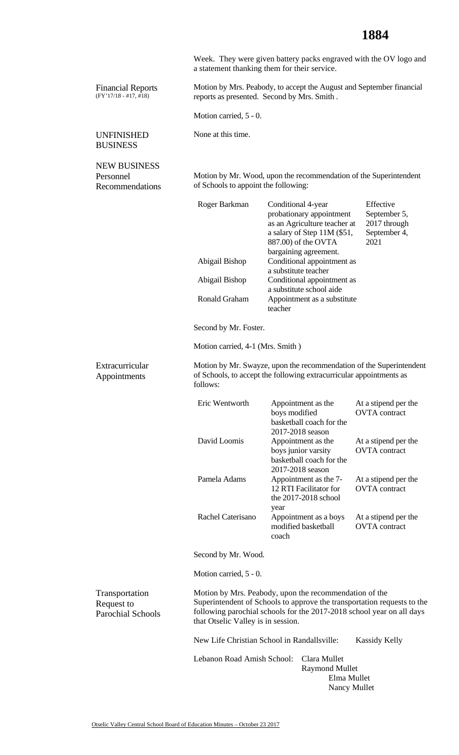## **1884**

|                                                          |                                      | Week. They were given battery packs engraved with the OV logo and<br>a statement thanking them for their service.                                                                                          |                                                                   |
|----------------------------------------------------------|--------------------------------------|------------------------------------------------------------------------------------------------------------------------------------------------------------------------------------------------------------|-------------------------------------------------------------------|
| <b>Financial Reports</b><br>$(FY'17/18 - #17, #18)$      |                                      | Motion by Mrs. Peabody, to accept the August and September financial<br>reports as presented. Second by Mrs. Smith.                                                                                        |                                                                   |
|                                                          | Motion carried, 5 - 0.               |                                                                                                                                                                                                            |                                                                   |
| <b>UNFINISHED</b><br><b>BUSINESS</b>                     | None at this time.                   |                                                                                                                                                                                                            |                                                                   |
| <b>NEW BUSINESS</b><br>Personnel<br>Recommendations      | of Schools to appoint the following: | Motion by Mr. Wood, upon the recommendation of the Superintendent                                                                                                                                          |                                                                   |
|                                                          | Roger Barkman                        | Conditional 4-year<br>probationary appointment<br>as an Agriculture teacher at<br>a salary of Step 11M (\$51,<br>887.00) of the OVTA<br>bargaining agreement.                                              | Effective<br>September 5,<br>2017 through<br>September 4,<br>2021 |
|                                                          | Abigail Bishop                       | Conditional appointment as<br>a substitute teacher                                                                                                                                                         |                                                                   |
|                                                          | Abigail Bishop                       | Conditional appointment as<br>a substitute school aide                                                                                                                                                     |                                                                   |
|                                                          | Ronald Graham                        | Appointment as a substitute<br>teacher                                                                                                                                                                     |                                                                   |
|                                                          | Second by Mr. Foster.                |                                                                                                                                                                                                            |                                                                   |
|                                                          | Motion carried, 4-1 (Mrs. Smith)     |                                                                                                                                                                                                            |                                                                   |
| Extracurricular<br>Appointments                          | follows:                             | Motion by Mr. Swayze, upon the recommendation of the Superintendent<br>of Schools, to accept the following extracurricular appointments as                                                                 |                                                                   |
|                                                          | Eric Wentworth                       | Appointment as the<br>boys modified<br>basketball coach for the                                                                                                                                            | At a stipend per the<br><b>OVTA</b> contract                      |
|                                                          | David Loomis                         | 2017-2018 season<br>Appointment as the<br>boys junior varsity<br>basketball coach for the<br>2017-2018 season                                                                                              | At a stipend per the<br><b>OVTA</b> contract                      |
|                                                          | Pamela Adams                         | Appointment as the 7-<br>12 RTI Facilitator for<br>the 2017-2018 school<br>year                                                                                                                            | At a stipend per the<br><b>OVTA</b> contract                      |
|                                                          | Rachel Caterisano                    | Appointment as a boys<br>modified basketball<br>coach                                                                                                                                                      | At a stipend per the<br><b>OVTA</b> contract                      |
|                                                          | Second by Mr. Wood.                  |                                                                                                                                                                                                            |                                                                   |
|                                                          | Motion carried, 5 - 0.               |                                                                                                                                                                                                            |                                                                   |
| Transportation<br>Request to<br><b>Parochial Schools</b> | that Otselic Valley is in session.   | Motion by Mrs. Peabody, upon the recommendation of the<br>Superintendent of Schools to approve the transportation requests to the<br>following parochial schools for the 2017-2018 school year on all days |                                                                   |
|                                                          |                                      | New Life Christian School in Randallsville:                                                                                                                                                                | <b>Kassidy Kelly</b>                                              |
|                                                          | Lebanon Road Amish School:           | Clara Mullet<br><b>Raymond Mullet</b>                                                                                                                                                                      | Elma Mullet<br>Nancy Mullet                                       |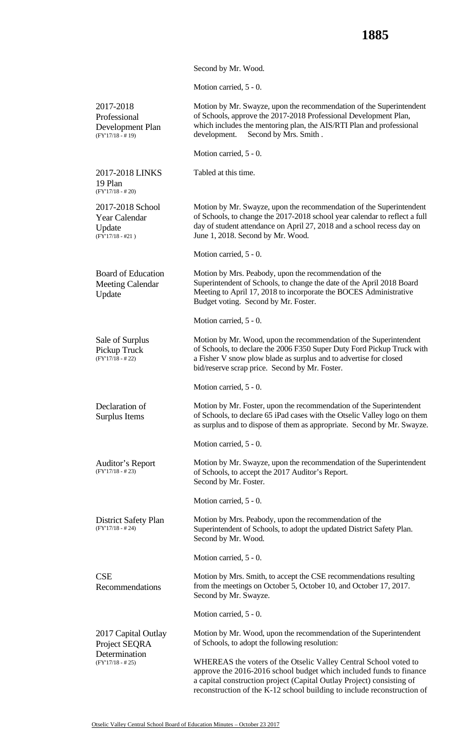Second by Mr. Wood.

Motion carried, 5 - 0.

| 2017-2018<br>Professional<br>Development Plan<br>$(FY'17/18 - #19)$      | Motion by Mr. Swayze, upon the recommendation of the Superintendent<br>of Schools, approve the 2017-2018 Professional Development Plan,<br>which includes the mentoring plan, the AIS/RTI Plan and professional<br>Second by Mrs. Smith.<br>development.                                    |
|--------------------------------------------------------------------------|---------------------------------------------------------------------------------------------------------------------------------------------------------------------------------------------------------------------------------------------------------------------------------------------|
|                                                                          | Motion carried, 5 - 0.                                                                                                                                                                                                                                                                      |
| 2017-2018 LINKS<br>19 Plan<br>$(FY'17/18 - #20)$                         | Tabled at this time.                                                                                                                                                                                                                                                                        |
| 2017-2018 School<br><b>Year Calendar</b><br>Update<br>$(FY'17/18 - #21)$ | Motion by Mr. Swayze, upon the recommendation of the Superintendent<br>of Schools, to change the 2017-2018 school year calendar to reflect a full<br>day of student attendance on April 27, 2018 and a school recess day on<br>June 1, 2018. Second by Mr. Wood.                            |
|                                                                          | Motion carried, 5 - 0.                                                                                                                                                                                                                                                                      |
| <b>Board of Education</b><br><b>Meeting Calendar</b><br>Update           | Motion by Mrs. Peabody, upon the recommendation of the<br>Superintendent of Schools, to change the date of the April 2018 Board<br>Meeting to April 17, 2018 to incorporate the BOCES Administrative<br>Budget voting. Second by Mr. Foster.                                                |
|                                                                          | Motion carried, 5 - 0.                                                                                                                                                                                                                                                                      |
| Sale of Surplus<br>Pickup Truck<br>$(FY'17/18 - #22)$                    | Motion by Mr. Wood, upon the recommendation of the Superintendent<br>of Schools, to declare the 2006 F350 Super Duty Ford Pickup Truck with<br>a Fisher V snow plow blade as surplus and to advertise for closed<br>bid/reserve scrap price. Second by Mr. Foster.                          |
|                                                                          | Motion carried, 5 - 0.                                                                                                                                                                                                                                                                      |
| Declaration of<br>Surplus Items                                          | Motion by Mr. Foster, upon the recommendation of the Superintendent<br>of Schools, to declare 65 iPad cases with the Otselic Valley logo on them<br>as surplus and to dispose of them as appropriate. Second by Mr. Swayze.                                                                 |
|                                                                          | Motion carried, 5 - 0.                                                                                                                                                                                                                                                                      |
| Auditor's Report<br>$(FY'17/18 - # 23)$                                  | Motion by Mr. Swayze, upon the recommendation of the Superintendent<br>of Schools, to accept the 2017 Auditor's Report.<br>Second by Mr. Foster.                                                                                                                                            |
|                                                                          | Motion carried, 5 - 0.                                                                                                                                                                                                                                                                      |
| District Safety Plan<br>$(FY'17/18 - # 24)$                              | Motion by Mrs. Peabody, upon the recommendation of the<br>Superintendent of Schools, to adopt the updated District Safety Plan.<br>Second by Mr. Wood.                                                                                                                                      |
|                                                                          | Motion carried, 5 - 0.                                                                                                                                                                                                                                                                      |
| <b>CSE</b><br>Recommendations                                            | Motion by Mrs. Smith, to accept the CSE recommendations resulting<br>from the meetings on October 5, October 10, and October 17, 2017.<br>Second by Mr. Swayze.                                                                                                                             |
|                                                                          | Motion carried, 5 - 0.                                                                                                                                                                                                                                                                      |
| 2017 Capital Outlay<br>Project SEQRA<br>Determination                    | Motion by Mr. Wood, upon the recommendation of the Superintendent<br>of Schools, to adopt the following resolution:                                                                                                                                                                         |
| $(FY'17/18 - # 25)$                                                      | WHEREAS the voters of the Otselic Valley Central School voted to<br>approve the 2016-2016 school budget which included funds to finance<br>a capital construction project (Capital Outlay Project) consisting of<br>reconstruction of the K-12 school building to include reconstruction of |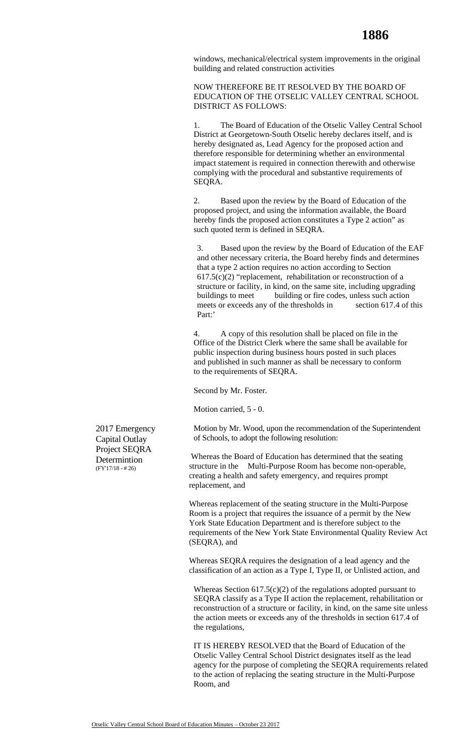windows, mechanical/electrical system improvements in the original building and related construction activities

NOW THEREFORE BE IT RESOLVED BY THE BOARD OF EDUCATION OF THE OTSELIC VALLEY CENTRAL SCHOOL DISTRICT AS FOLLOWS:

1. The Board of Education of the Otselic Valley Central School District at Georgetown-South Otselic hereby declares itself, and is hereby designated as, Lead Agency for the proposed action and therefore responsible for determining whether an environmental impact statement is required in connection therewith and otherwise complying with the procedural and substantive requirements of SEQRA.

2. Based upon the review by the Board of Education of the proposed project, and using the information available, the Board hereby finds the proposed action constitutes a Type 2 action" as such quoted term is defined in SEQRA.

3. Based upon the review by the Board of Education of the EAF and other necessary criteria, the Board hereby finds and determines that a type 2 action requires no action according to Section  $617.5(c)(2)$  "replacement, rehabilitation or reconstruction of a structure or facility, in kind, on the same site, including upgrading buildings to meet building or fire codes, unless such action meets or exceeds any of the thresholds in section 617.4 of this Part:'

4. A copy of this resolution shall be placed on file in the Office of the District Clerk where the same shall be available for public inspection during business hours posted in such places and published in such manner as shall be necessary to conform to the requirements of SEQRA.

Second by Mr. Foster.

Motion carried, 5 - 0.

Motion by Mr. Wood, upon the recommendation of the Superintendent of Schools, to adopt the following resolution:

Whereas the Board of Education has determined that the seating structure in the Multi-Purpose Room has become non-operable, creating a health and safety emergency, and requires prompt replacement, and

Whereas replacement of the seating structure in the Multi-Purpose Room is a project that requires the issuance of a permit by the New York State Education Department and is therefore subject to the requirements of the New York State Environmental Quality Review Act (SEQRA), and

Whereas SEQRA requires the designation of a lead agency and the classification of an action as a Type I, Type II, or Unlisted action, and

Whereas Section  $617.5(c)(2)$  of the regulations adopted pursuant to SEQRA classify as a Type II action the replacement, rehabilitation or reconstruction of a structure or facility, in kind, on the same site unless the action meets or exceeds any of the thresholds in section 617.4 of the regulations,

IT IS HEREBY RESOLVED that the Board of Education of the Otselic Valley Central School District designates itself as the lead agency for the purpose of completing the SEQRA requirements related to the action of replacing the seating structure in the Multi-Purpose Room, and

2017 Emergency Capital Outlay Project SEQRA **Determintion** (FY'17/18 - # 26)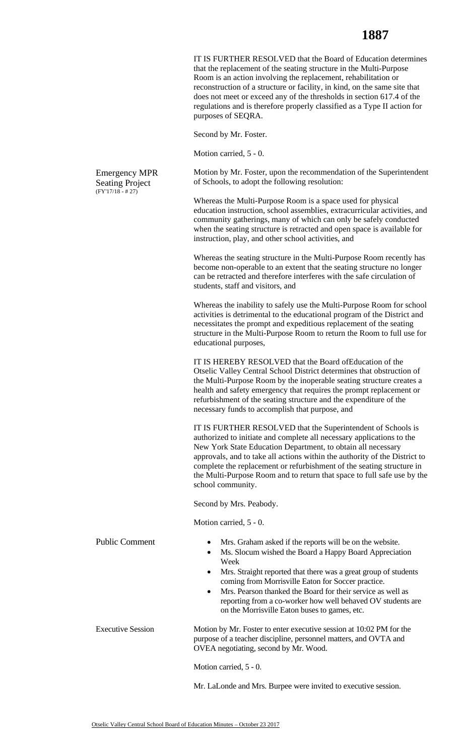IT IS FURTHER RESOLVED that the Board of Education determines that the replacement of the seating structure in the Multi-Purpose Room is an action involving the replacement, rehabilitation or reconstruction of a structure or facility, in kind, on the same site that does not meet or exceed any of the thresholds in section 617.4 of the regulations and is therefore properly classified as a Type II action for purposes of SEQRA.

Second by Mr. Foster.

Motion carried, 5 - 0.

Motion by Mr. Foster, upon the recommendation of the Superintendent of Schools, to adopt the following resolution:

Whereas the Multi-Purpose Room is a space used for physical education instruction, school assemblies, extracurricular activities, and community gatherings, many of which can only be safely conducted when the seating structure is retracted and open space is available for instruction, play, and other school activities, and

Whereas the seating structure in the Multi-Purpose Room recently has become non-operable to an extent that the seating structure no longer can be retracted and therefore interferes with the safe circulation of students, staff and visitors, and

Whereas the inability to safely use the Multi-Purpose Room for school activities is detrimental to the educational program of the District and necessitates the prompt and expeditious replacement of the seating structure in the Multi-Purpose Room to return the Room to full use for educational purposes,

IT IS HEREBY RESOLVED that the Board ofEducation of the Otselic Valley Central School District determines that obstruction of the Multi-Purpose Room by the inoperable seating structure creates a health and safety emergency that requires the prompt replacement or refurbishment of the seating structure and the expenditure of the necessary funds to accomplish that purpose, and

IT IS FURTHER RESOLVED that the Superintendent of Schools is authorized to initiate and complete all necessary applications to the New York State Education Department, to obtain all necessary approvals, and to take all actions within the authority of the District to complete the replacement or refurbishment of the seating structure in the Multi-Purpose Room and to return that space to full safe use by the school community.

Second by Mrs. Peabody.

Motion carried, 5 - 0.

| <b>Public Comment</b>    | Mrs. Graham asked if the reports will be on the website.<br>$\bullet$<br>Ms. Slocum wished the Board a Happy Board Appreciation<br>$\bullet$<br>Week<br>Mrs. Straight reported that there was a great group of students<br>$\bullet$<br>coming from Morrisville Eaton for Soccer practice.<br>Mrs. Pearson thanked the Board for their service as well as<br>$\bullet$<br>reporting from a co-worker how well behaved OV students are<br>on the Morrisville Eaton buses to games, etc. |  |  |
|--------------------------|----------------------------------------------------------------------------------------------------------------------------------------------------------------------------------------------------------------------------------------------------------------------------------------------------------------------------------------------------------------------------------------------------------------------------------------------------------------------------------------|--|--|
| <b>Executive Session</b> | Motion by Mr. Foster to enter executive session at 10:02 PM for the<br>purpose of a teacher discipline, personnel matters, and OVTA and<br>OVEA negotiating, second by Mr. Wood.                                                                                                                                                                                                                                                                                                       |  |  |
|                          | Motion carried, 5 - 0.                                                                                                                                                                                                                                                                                                                                                                                                                                                                 |  |  |
|                          | Mr. LaLonde and Mrs. Burpee were invited to executive session.                                                                                                                                                                                                                                                                                                                                                                                                                         |  |  |

Emergency MPR Seating Project  $(FY'17/18 - # 27)$